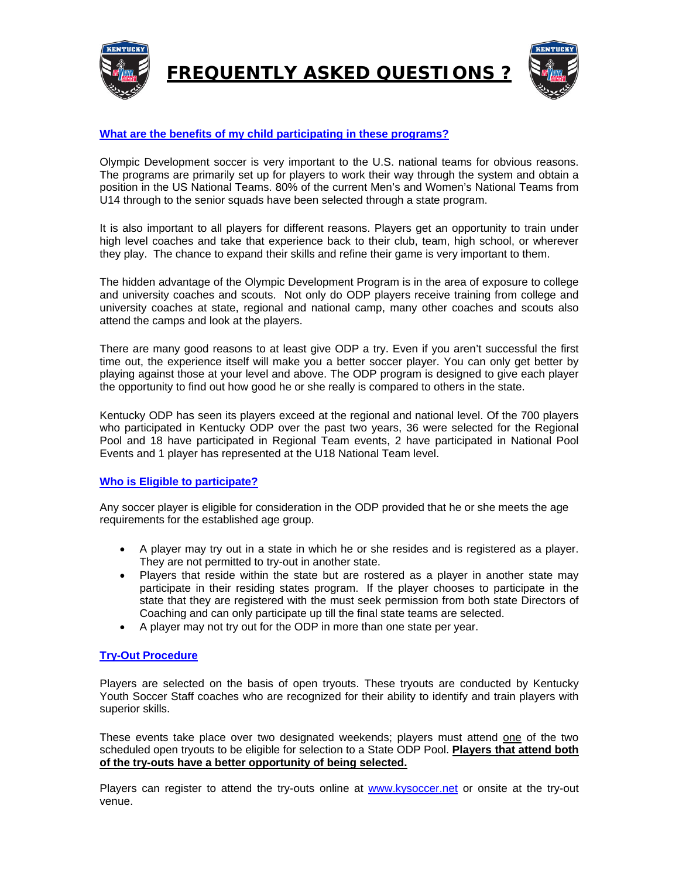



# **What are the benefits of my child participating in these programs?**

Olympic Development soccer is very important to the U.S. national teams for obvious reasons. The programs are primarily set up for players to work their way through the system and obtain a position in the US National Teams. 80% of the current Men's and Women's National Teams from U14 through to the senior squads have been selected through a state program.

It is also important to all players for different reasons. Players get an opportunity to train under high level coaches and take that experience back to their club, team, high school, or wherever they play. The chance to expand their skills and refine their game is very important to them.

The hidden advantage of the Olympic Development Program is in the area of exposure to college and university coaches and scouts. Not only do ODP players receive training from college and university coaches at state, regional and national camp, many other coaches and scouts also attend the camps and look at the players.

There are many good reasons to at least give ODP a try. Even if you aren't successful the first time out, the experience itself will make you a better soccer player. You can only get better by playing against those at your level and above. The ODP program is designed to give each player the opportunity to find out how good he or she really is compared to others in the state.

Kentucky ODP has seen its players exceed at the regional and national level. Of the 700 players who participated in Kentucky ODP over the past two years, 36 were selected for the Regional Pool and 18 have participated in Regional Team events, 2 have participated in National Pool Events and 1 player has represented at the U18 National Team level.

### **Who is Eligible to participate?**

Any soccer player is eligible for consideration in the ODP provided that he or she meets the age requirements for the established age group.

- A player may try out in a state in which he or she resides and is registered as a player. They are not permitted to try-out in another state.
- Players that reside within the state but are rostered as a player in another state may participate in their residing states program. If the player chooses to participate in the state that they are registered with the must seek permission from both state Directors of Coaching and can only participate up till the final state teams are selected.
- A player may not try out for the ODP in more than one state per year.

### **Try-Out Procedure**

Players are selected on the basis of open tryouts. These tryouts are conducted by Kentucky Youth Soccer Staff coaches who are recognized for their ability to identify and train players with superior skills.

These events take place over two designated weekends; players must attend one of the two scheduled open tryouts to be eligible for selection to a State ODP Pool. **Players that attend both of the try-outs have a better opportunity of being selected.**

Players can register to attend the try-outs online at www.kysoccer.net or onsite at the try-out venue.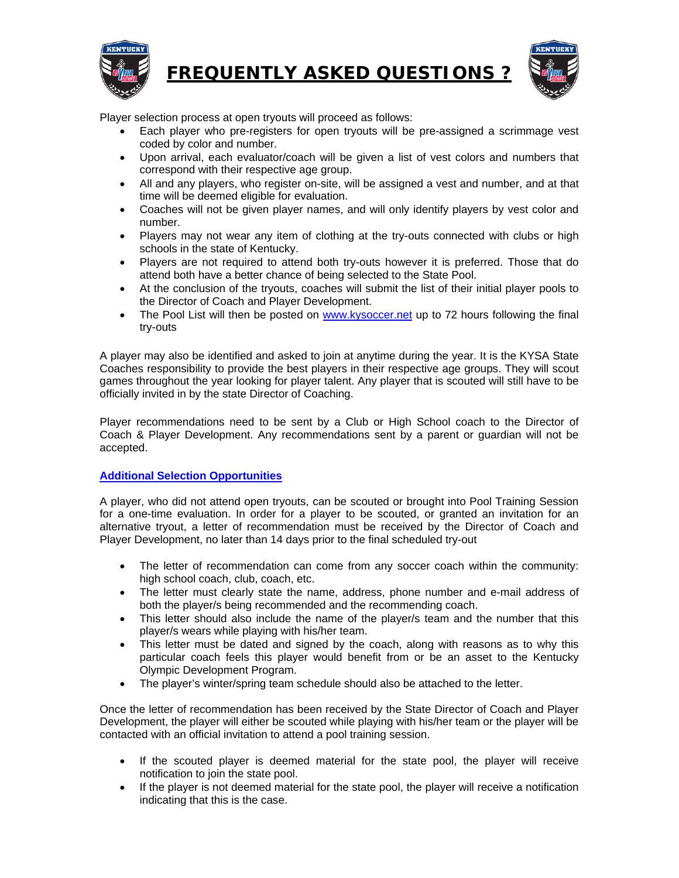



Player selection process at open tryouts will proceed as follows:

- Each player who pre-registers for open tryouts will be pre-assigned a scrimmage vest coded by color and number.
- Upon arrival, each evaluator/coach will be given a list of vest colors and numbers that correspond with their respective age group.
- All and any players, who register on-site, will be assigned a vest and number, and at that time will be deemed eligible for evaluation.
- Coaches will not be given player names, and will only identify players by vest color and number.
- Players may not wear any item of clothing at the try-outs connected with clubs or high schools in the state of Kentucky.
- Players are not required to attend both try-outs however it is preferred. Those that do attend both have a better chance of being selected to the State Pool.
- At the conclusion of the tryouts, coaches will submit the list of their initial player pools to the Director of Coach and Player Development.
- The Pool List will then be posted on www.kysoccer.net up to 72 hours following the final try-outs

A player may also be identified and asked to join at anytime during the year. It is the KYSA State Coaches responsibility to provide the best players in their respective age groups. They will scout games throughout the year looking for player talent. Any player that is scouted will still have to be officially invited in by the state Director of Coaching.

Player recommendations need to be sent by a Club or High School coach to the Director of Coach & Player Development. Any recommendations sent by a parent or guardian will not be accepted.

## **Additional Selection Opportunities**

A player, who did not attend open tryouts, can be scouted or brought into Pool Training Session for a one-time evaluation. In order for a player to be scouted, or granted an invitation for an alternative tryout, a letter of recommendation must be received by the Director of Coach and Player Development, no later than 14 days prior to the final scheduled try-out

- The letter of recommendation can come from any soccer coach within the community: high school coach, club, coach, etc.
- The letter must clearly state the name, address, phone number and e-mail address of both the player/s being recommended and the recommending coach.
- This letter should also include the name of the player/s team and the number that this player/s wears while playing with his/her team.
- This letter must be dated and signed by the coach, along with reasons as to why this particular coach feels this player would benefit from or be an asset to the Kentucky Olympic Development Program.
- The player's winter/spring team schedule should also be attached to the letter.

Once the letter of recommendation has been received by the State Director of Coach and Player Development, the player will either be scouted while playing with his/her team or the player will be contacted with an official invitation to attend a pool training session.

- If the scouted player is deemed material for the state pool, the player will receive notification to join the state pool.
- If the player is not deemed material for the state pool, the player will receive a notification indicating that this is the case.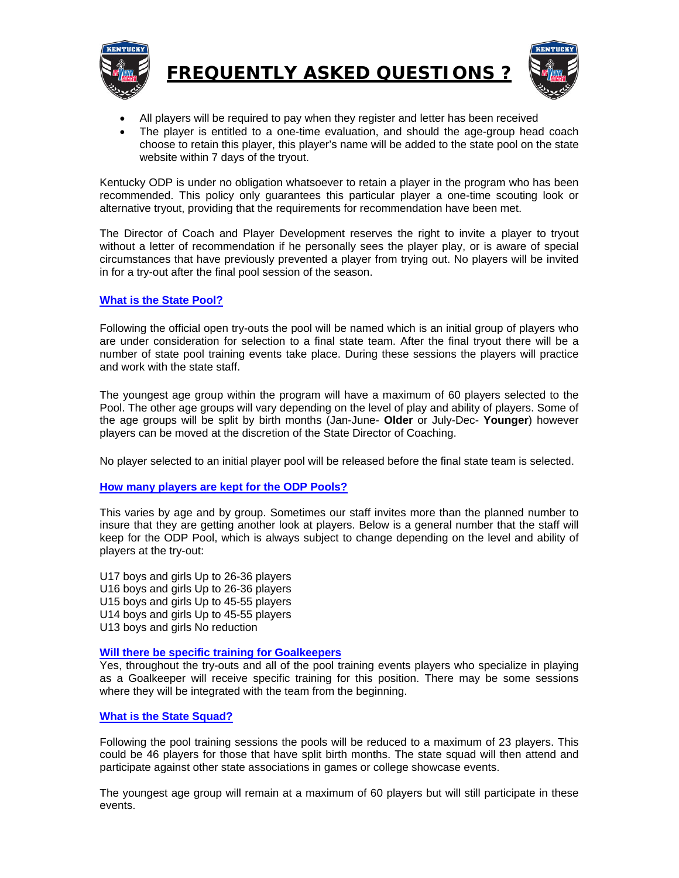



- All players will be required to pay when they register and letter has been received
- The player is entitled to a one-time evaluation, and should the age-group head coach choose to retain this player, this player's name will be added to the state pool on the state website within 7 days of the tryout.

Kentucky ODP is under no obligation whatsoever to retain a player in the program who has been recommended. This policy only guarantees this particular player a one-time scouting look or alternative tryout, providing that the requirements for recommendation have been met.

The Director of Coach and Player Development reserves the right to invite a player to tryout without a letter of recommendation if he personally sees the player play, or is aware of special circumstances that have previously prevented a player from trying out. No players will be invited in for a try-out after the final pool session of the season.

## **What is the State Pool?**

Following the official open try-outs the pool will be named which is an initial group of players who are under consideration for selection to a final state team. After the final tryout there will be a number of state pool training events take place. During these sessions the players will practice and work with the state staff.

The youngest age group within the program will have a maximum of 60 players selected to the Pool. The other age groups will vary depending on the level of play and ability of players. Some of the age groups will be split by birth months (Jan-June- **Older** or July-Dec- **Younger**) however players can be moved at the discretion of the State Director of Coaching.

No player selected to an initial player pool will be released before the final state team is selected.

### **How many players are kept for the ODP Pools?**

This varies by age and by group. Sometimes our staff invites more than the planned number to insure that they are getting another look at players. Below is a general number that the staff will keep for the ODP Pool, which is always subject to change depending on the level and ability of players at the try-out:

U17 boys and girls Up to 26-36 players U16 boys and girls Up to 26-36 players U15 boys and girls Up to 45-55 players U14 boys and girls Up to 45-55 players U13 boys and girls No reduction

### **Will there be specific training for Goalkeepers**

Yes, throughout the try-outs and all of the pool training events players who specialize in playing as a Goalkeeper will receive specific training for this position. There may be some sessions where they will be integrated with the team from the beginning.

# **What is the State Squad?**

Following the pool training sessions the pools will be reduced to a maximum of 23 players. This could be 46 players for those that have split birth months. The state squad will then attend and participate against other state associations in games or college showcase events.

The youngest age group will remain at a maximum of 60 players but will still participate in these events.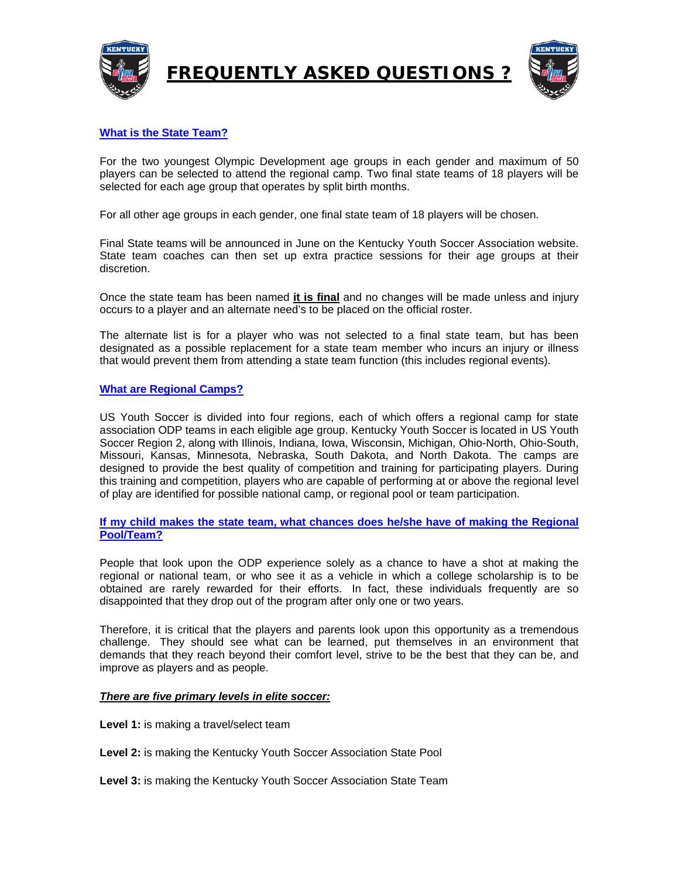



# **What is the State Team?**

For the two youngest Olympic Development age groups in each gender and maximum of 50 players can be selected to attend the regional camp. Two final state teams of 18 players will be selected for each age group that operates by split birth months.

For all other age groups in each gender, one final state team of 18 players will be chosen.

Final State teams will be announced in June on the Kentucky Youth Soccer Association website. State team coaches can then set up extra practice sessions for their age groups at their discretion.

Once the state team has been named **it is final** and no changes will be made unless and injury occurs to a player and an alternate need's to be placed on the official roster.

The alternate list is for a player who was not selected to a final state team, but has been designated as a possible replacement for a state team member who incurs an injury or illness that would prevent them from attending a state team function (this includes regional events).

#### **What are Regional Camps?**

US Youth Soccer is divided into four regions, each of which offers a regional camp for state association ODP teams in each eligible age group. Kentucky Youth Soccer is located in US Youth Soccer Region 2, along with Illinois, Indiana, Iowa, Wisconsin, Michigan, Ohio-North, Ohio-South, Missouri, Kansas, Minnesota, Nebraska, South Dakota, and North Dakota. The camps are designed to provide the best quality of competition and training for participating players. During this training and competition, players who are capable of performing at or above the regional level of play are identified for possible national camp, or regional pool or team participation.

### **If my child makes the state team, what chances does he/she have of making the Regional Pool/Team?**

People that look upon the ODP experience solely as a chance to have a shot at making the regional or national team, or who see it as a vehicle in which a college scholarship is to be obtained are rarely rewarded for their efforts. In fact, these individuals frequently are so disappointed that they drop out of the program after only one or two years.

Therefore, it is critical that the players and parents look upon this opportunity as a tremendous challenge. They should see what can be learned, put themselves in an environment that demands that they reach beyond their comfort level, strive to be the best that they can be, and improve as players and as people.

### *There are five primary levels in elite soccer:*

**Level 1:** is making a travel/select team

**Level 2:** is making the Kentucky Youth Soccer Association State Pool

**Level 3:** is making the Kentucky Youth Soccer Association State Team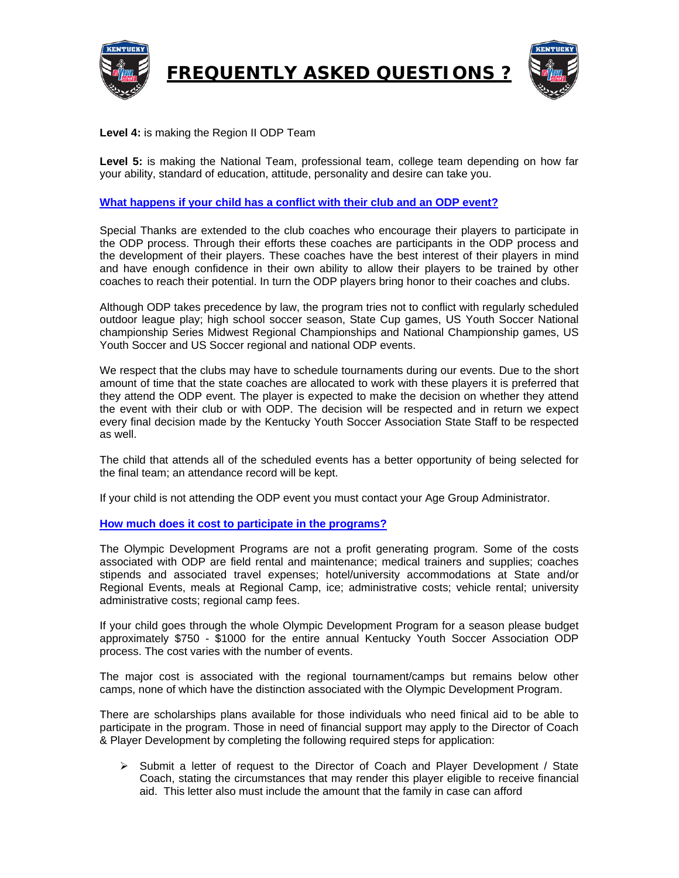



## **Level 4:** is making the Region II ODP Team

**Level 5:** is making the National Team, professional team, college team depending on how far your ability, standard of education, attitude, personality and desire can take you.

### **What happens if your child has a conflict with their club and an ODP event?**

Special Thanks are extended to the club coaches who encourage their players to participate in the ODP process. Through their efforts these coaches are participants in the ODP process and the development of their players. These coaches have the best interest of their players in mind and have enough confidence in their own ability to allow their players to be trained by other coaches to reach their potential. In turn the ODP players bring honor to their coaches and clubs.

Although ODP takes precedence by law, the program tries not to conflict with regularly scheduled outdoor league play; high school soccer season, State Cup games, US Youth Soccer National championship Series Midwest Regional Championships and National Championship games, US Youth Soccer and US Soccer regional and national ODP events.

We respect that the clubs may have to schedule tournaments during our events. Due to the short amount of time that the state coaches are allocated to work with these players it is preferred that they attend the ODP event. The player is expected to make the decision on whether they attend the event with their club or with ODP. The decision will be respected and in return we expect every final decision made by the Kentucky Youth Soccer Association State Staff to be respected as well.

The child that attends all of the scheduled events has a better opportunity of being selected for the final team; an attendance record will be kept.

If your child is not attending the ODP event you must contact your Age Group Administrator.

### **How much does it cost to participate in the programs?**

The Olympic Development Programs are not a profit generating program. Some of the costs associated with ODP are field rental and maintenance; medical trainers and supplies; coaches stipends and associated travel expenses; hotel/university accommodations at State and/or Regional Events, meals at Regional Camp, ice; administrative costs; vehicle rental; university administrative costs; regional camp fees.

If your child goes through the whole Olympic Development Program for a season please budget approximately \$750 - \$1000 for the entire annual Kentucky Youth Soccer Association ODP process. The cost varies with the number of events.

The major cost is associated with the regional tournament/camps but remains below other camps, none of which have the distinction associated with the Olympic Development Program.

There are scholarships plans available for those individuals who need finical aid to be able to participate in the program. Those in need of financial support may apply to the Director of Coach & Player Development by completing the following required steps for application:

 $\triangleright$  Submit a letter of request to the Director of Coach and Player Development / State Coach, stating the circumstances that may render this player eligible to receive financial aid. This letter also must include the amount that the family in case can afford